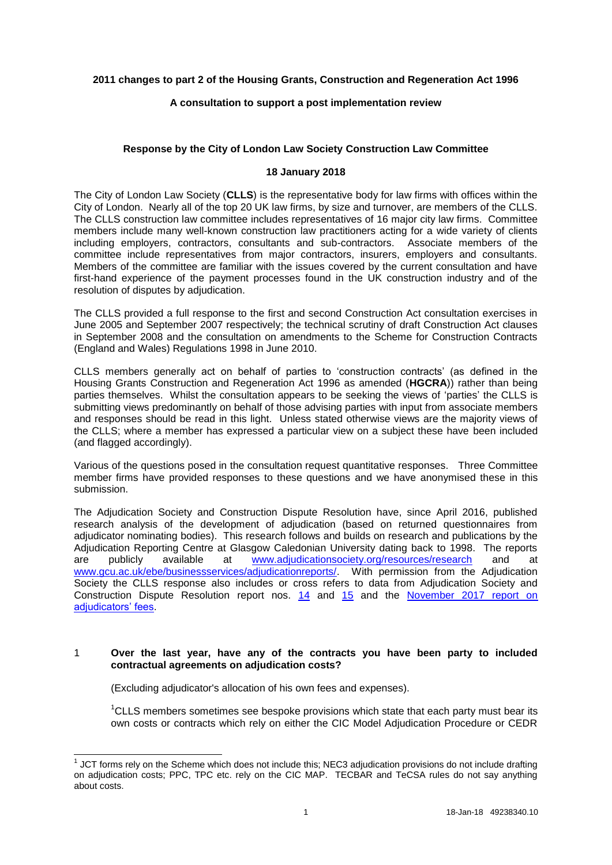## **2011 changes to part 2 of the Housing Grants, Construction and Regeneration Act 1996**

# **A consultation to support a post implementation review**

# **Response by the City of London Law Society Construction Law Committee**

## **18 January 2018**

The City of London Law Society (**CLLS**) is the representative body for law firms with offices within the City of London. Nearly all of the top 20 UK law firms, by size and turnover, are members of the CLLS. The CLLS construction law committee includes representatives of 16 major city law firms. Committee members include many well-known construction law practitioners acting for a wide variety of clients including employers, contractors, consultants and sub-contractors. Associate members of the committee include representatives from major contractors, insurers, employers and consultants. Members of the committee are familiar with the issues covered by the current consultation and have first-hand experience of the payment processes found in the UK construction industry and of the resolution of disputes by adjudication.

The CLLS provided a full response to the first and second Construction Act consultation exercises in June 2005 and September 2007 respectively; the technical scrutiny of draft Construction Act clauses in September 2008 and the consultation on amendments to the Scheme for Construction Contracts (England and Wales) Regulations 1998 in June 2010.

CLLS members generally act on behalf of parties to 'construction contracts' (as defined in the Housing Grants Construction and Regeneration Act 1996 as amended (**HGCRA**)) rather than being parties themselves. Whilst the consultation appears to be seeking the views of 'parties' the CLLS is submitting views predominantly on behalf of those advising parties with input from associate members and responses should be read in this light. Unless stated otherwise views are the majority views of the CLLS; where a member has expressed a particular view on a subject these have been included (and flagged accordingly).

Various of the questions posed in the consultation request quantitative responses. Three Committee member firms have provided responses to these questions and we have anonymised these in this submission.

The Adjudication Society and Construction Dispute Resolution have, since April 2016, published research analysis of the development of adjudication (based on returned questionnaires from adjudicator nominating bodies). This research follows and builds on research and publications by the Adjudication Reporting Centre at Glasgow Caledonian University dating back to 1998. The reports are publicly available at [www.adjudicationsociety.org/resources/research](file:///C:/NRPortbl/LIVE_LIB/FJB/www.adjudicationsociety.org/resources/research) and at [www.gcu.ac.uk/ebe/businessservices/adjudicationreports/.](https://www.gcu.ac.uk/ebe/businessservices/adjudicationreports/) With permission from the Adjudication Society the CLLS response also includes or cross refers to data from Adjudication Society and Construction Dispute Resolution report nos. [14](https://www.adjudication.org/sites/default/files/Report%2014%20April%202016%202.pdf) and [15](https://www.adjudication.org/sites/default/files/Report%2015.pdf) and the [November 2017 report on](https://www.adjudication.org/sites/default/files/Report%20on%20Adjudication%20Fees.pdf)  [adjudicators' fees.](https://www.adjudication.org/sites/default/files/Report%20on%20Adjudication%20Fees.pdf)

# 1 **Over the last year, have any of the contracts you have been party to included contractual agreements on adjudication costs?**

(Excluding adjudicator's allocation of his own fees and expenses).

1

<sup>1</sup>CLLS members sometimes see bespoke provisions which state that each party must bear its own costs or contracts which rely on either the CIC Model Adjudication Procedure or CEDR

 $1$  JCT forms rely on the Scheme which does not include this; NEC3 adjudication provisions do not include drafting on adjudication costs; PPC, TPC etc. rely on the CIC MAP. TECBAR and TeCSA rules do not say anything about costs.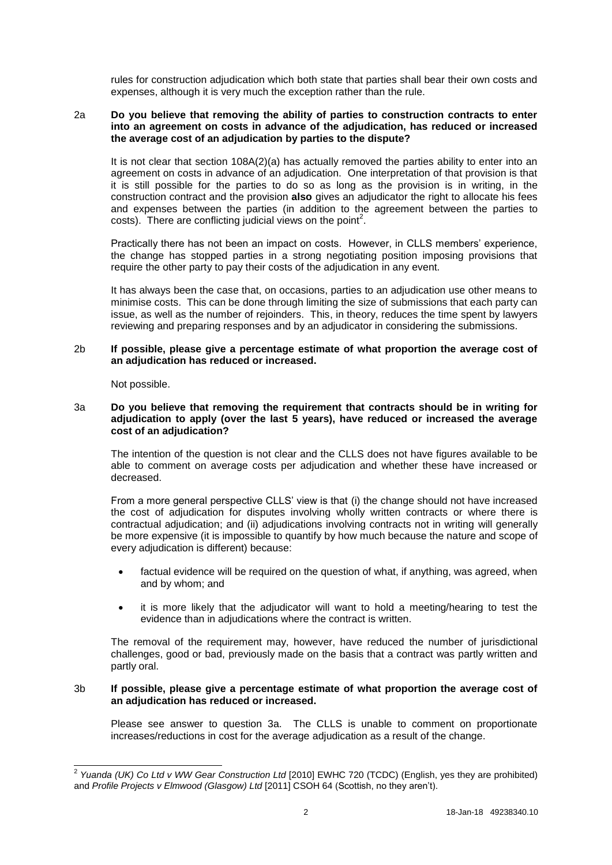rules for construction adjudication which both state that parties shall bear their own costs and expenses, although it is very much the exception rather than the rule.

## 2a **Do you believe that removing the ability of parties to construction contracts to enter into an agreement on costs in advance of the adjudication, has reduced or increased the average cost of an adjudication by parties to the dispute?**

It is not clear that section 108A(2)(a) has actually removed the parties ability to enter into an agreement on costs in advance of an adjudication. One interpretation of that provision is that it is still possible for the parties to do so as long as the provision is in writing, in the construction contract and the provision **also** gives an adjudicator the right to allocate his fees and expenses between the parties (in addition to the agreement between the parties to  $costs$ ). There are conflicting judicial views on the point<sup>2</sup>.

Practically there has not been an impact on costs. However, in CLLS members' experience, the change has stopped parties in a strong negotiating position imposing provisions that require the other party to pay their costs of the adjudication in any event.

It has always been the case that, on occasions, parties to an adjudication use other means to minimise costs. This can be done through limiting the size of submissions that each party can issue, as well as the number of rejoinders. This, in theory, reduces the time spent by lawyers reviewing and preparing responses and by an adjudicator in considering the submissions.

## 2b **If possible, please give a percentage estimate of what proportion the average cost of an adjudication has reduced or increased.**

Not possible.

## 3a **Do you believe that removing the requirement that contracts should be in writing for adjudication to apply (over the last 5 years), have reduced or increased the average cost of an adjudication?**

The intention of the question is not clear and the CLLS does not have figures available to be able to comment on average costs per adjudication and whether these have increased or decreased.

From a more general perspective CLLS' view is that (i) the change should not have increased the cost of adjudication for disputes involving wholly written contracts or where there is contractual adjudication; and (ii) adjudications involving contracts not in writing will generally be more expensive (it is impossible to quantify by how much because the nature and scope of every adjudication is different) because:

- factual evidence will be required on the question of what, if anything, was agreed, when and by whom; and
- it is more likely that the adjudicator will want to hold a meeting/hearing to test the evidence than in adjudications where the contract is written.

The removal of the requirement may, however, have reduced the number of jurisdictional challenges, good or bad, previously made on the basis that a contract was partly written and partly oral.

## 3b **If possible, please give a percentage estimate of what proportion the average cost of an adjudication has reduced or increased.**

Please see answer to question 3a. The CLLS is unable to comment on proportionate increases/reductions in cost for the average adjudication as a result of the change.

 2 *Yuanda (UK) Co Ltd v WW Gear Construction Ltd* [2010] EWHC 720 (TCDC) (English, yes they are prohibited) and *Profile Projects v Elmwood (Glasgow) Ltd* [2011] CSOH 64 (Scottish, no they aren't).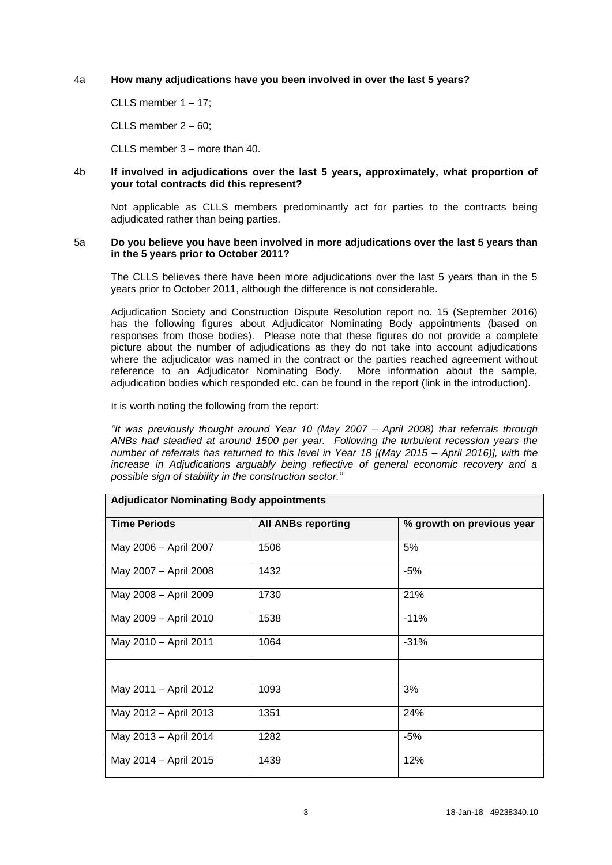# 4a **How many adjudications have you been involved in over the last 5 years?**

CLLS member 1 – 17;

CLLS member 2 – 60;

CLLS member 3 – more than 40.

# 4b **If involved in adjudications over the last 5 years, approximately, what proportion of your total contracts did this represent?**

Not applicable as CLLS members predominantly act for parties to the contracts being adjudicated rather than being parties.

#### 5a **Do you believe you have been involved in more adjudications over the last 5 years than in the 5 years prior to October 2011?**

The CLLS believes there have been more adjudications over the last 5 years than in the 5 years prior to October 2011, although the difference is not considerable.

Adjudication Society and Construction Dispute Resolution report no. 15 (September 2016) has the following figures about Adjudicator Nominating Body appointments (based on responses from those bodies). Please note that these figures do not provide a complete picture about the number of adjudications as they do not take into account adjudications where the adjudicator was named in the contract or the parties reached agreement without reference to an Adjudicator Nominating Body. More information about the sample, adjudication bodies which responded etc. can be found in the report (link in the introduction).

It is worth noting the following from the report:

*"It was previously thought around Year 10 (May 2007 – April 2008) that referrals through ANBs had steadied at around 1500 per year. Following the turbulent recession years the number of referrals has returned to this level in Year 18 [(May 2015 – April 2016)], with the increase in Adjudications arguably being reflective of general economic recovery and a possible sign of stability in the construction sector."*

| <b>Adjudicator Nominating Body appointments</b> |                           |                           |  |  |
|-------------------------------------------------|---------------------------|---------------------------|--|--|
| <b>Time Periods</b>                             | <b>All ANBs reporting</b> | % growth on previous year |  |  |
| May 2006 - April 2007                           | 1506                      | 5%                        |  |  |
| May 2007 - April 2008                           | 1432                      | -5%                       |  |  |
| May 2008 - April 2009                           | 1730                      | 21%                       |  |  |
| May 2009 - April 2010                           | 1538                      | $-11%$                    |  |  |
| May 2010 - April 2011                           | 1064                      | $-31%$                    |  |  |
|                                                 |                           |                           |  |  |
| May 2011 - April 2012                           | 1093                      | 3%                        |  |  |
| May 2012 - April 2013                           | 1351                      | 24%                       |  |  |
| May 2013 - April 2014                           | 1282                      | $-5%$                     |  |  |
| May 2014 - April 2015                           | 1439                      | 12%                       |  |  |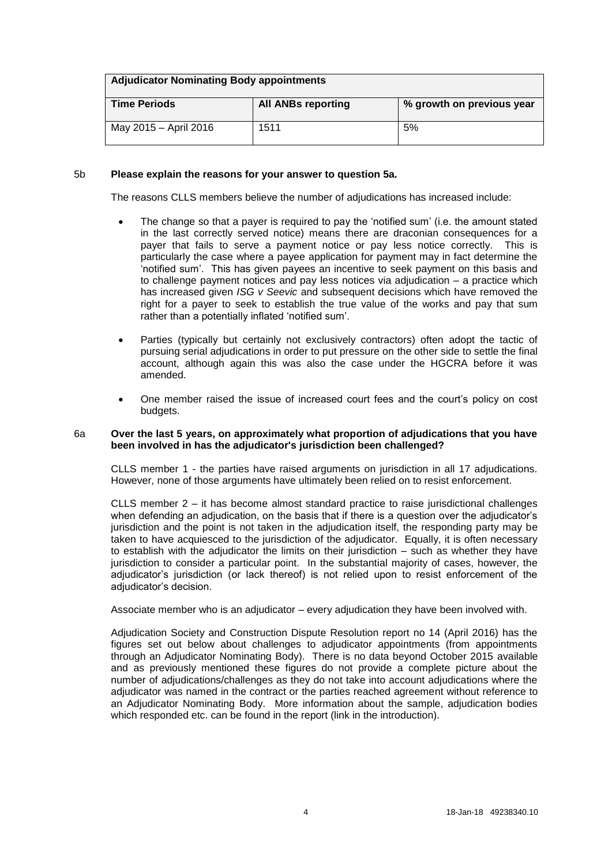| <b>Adjudicator Nominating Body appointments</b> |                    |                           |  |  |
|-------------------------------------------------|--------------------|---------------------------|--|--|
| <b>Time Periods</b>                             | All ANBs reporting | % growth on previous year |  |  |
| May 2015 - April 2016                           | 1511               | 5%                        |  |  |

## 5b **Please explain the reasons for your answer to question 5a.**

The reasons CLLS members believe the number of adjudications has increased include:

- The change so that a payer is required to pay the 'notified sum' (i.e. the amount stated in the last correctly served notice) means there are draconian consequences for a payer that fails to serve a payment notice or pay less notice correctly. This is particularly the case where a payee application for payment may in fact determine the 'notified sum'. This has given payees an incentive to seek payment on this basis and to challenge payment notices and pay less notices via adjudication – a practice which has increased given *ISG v Seevic* and subsequent decisions which have removed the right for a payer to seek to establish the true value of the works and pay that sum rather than a potentially inflated 'notified sum'.
- Parties (typically but certainly not exclusively contractors) often adopt the tactic of pursuing serial adjudications in order to put pressure on the other side to settle the final account, although again this was also the case under the HGCRA before it was amended.
- One member raised the issue of increased court fees and the court's policy on cost budgets.

#### 6a **Over the last 5 years, on approximately what proportion of adjudications that you have been involved in has the adjudicator's jurisdiction been challenged?**

CLLS member 1 - the parties have raised arguments on jurisdiction in all 17 adjudications. However, none of those arguments have ultimately been relied on to resist enforcement.

CLLS member 2 – it has become almost standard practice to raise jurisdictional challenges when defending an adjudication, on the basis that if there is a question over the adjudicator's jurisdiction and the point is not taken in the adjudication itself, the responding party may be taken to have acquiesced to the jurisdiction of the adjudicator. Equally, it is often necessary to establish with the adjudicator the limits on their jurisdiction – such as whether they have jurisdiction to consider a particular point. In the substantial majority of cases, however, the adjudicator's jurisdiction (or lack thereof) is not relied upon to resist enforcement of the adjudicator's decision.

Associate member who is an adjudicator – every adjudication they have been involved with.

Adjudication Society and Construction Dispute Resolution report no 14 (April 2016) has the figures set out below about challenges to adjudicator appointments (from appointments through an Adjudicator Nominating Body). There is no data beyond October 2015 available and as previously mentioned these figures do not provide a complete picture about the number of adjudications/challenges as they do not take into account adjudications where the adjudicator was named in the contract or the parties reached agreement without reference to an Adjudicator Nominating Body. More information about the sample, adjudication bodies which responded etc. can be found in the report (link in the introduction).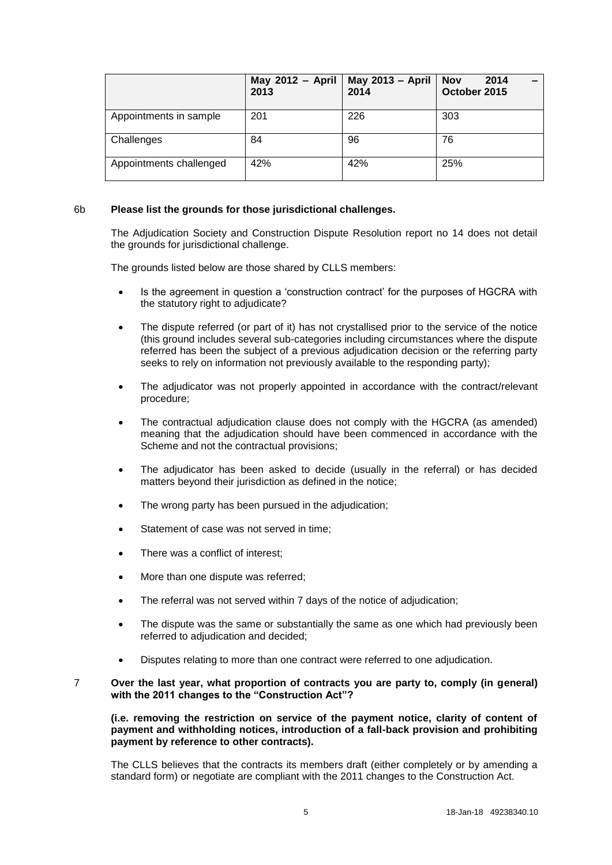|                         | 2013 | May 2012 - April   May 2013 - April<br>2014 | $\overline{\phantom{a}}$ Nov<br>2014<br>October 2015 |
|-------------------------|------|---------------------------------------------|------------------------------------------------------|
| Appointments in sample  | 201  | 226                                         | 303                                                  |
| Challenges              | 84   | 96                                          | 76                                                   |
| Appointments challenged | 42%  | 42%                                         | 25%                                                  |

## 6b **Please list the grounds for those jurisdictional challenges.**

The Adjudication Society and Construction Dispute Resolution report no 14 does not detail the grounds for jurisdictional challenge.

The grounds listed below are those shared by CLLS members:

- Is the agreement in question a 'construction contract' for the purposes of HGCRA with the statutory right to adjudicate?
- The dispute referred (or part of it) has not crystallised prior to the service of the notice (this ground includes several sub-categories including circumstances where the dispute referred has been the subject of a previous adjudication decision or the referring party seeks to rely on information not previously available to the responding party);
- The adjudicator was not properly appointed in accordance with the contract/relevant procedure;
- The contractual adjudication clause does not comply with the HGCRA (as amended) meaning that the adjudication should have been commenced in accordance with the Scheme and not the contractual provisions;
- The adjudicator has been asked to decide (usually in the referral) or has decided matters beyond their jurisdiction as defined in the notice;
- The wrong party has been pursued in the adjudication;
- Statement of case was not served in time;
- There was a conflict of interest;
- More than one dispute was referred;
- The referral was not served within 7 days of the notice of adjudication;
- The dispute was the same or substantially the same as one which had previously been referred to adjudication and decided;
- Disputes relating to more than one contract were referred to one adjudication.

7 **Over the last year, what proportion of contracts you are party to, comply (in general) with the 2011 changes to the "Construction Act"?**

**(i.e. removing the restriction on service of the payment notice, clarity of content of payment and withholding notices, introduction of a fall-back provision and prohibiting payment by reference to other contracts).**

The CLLS believes that the contracts its members draft (either completely or by amending a standard form) or negotiate are compliant with the 2011 changes to the Construction Act.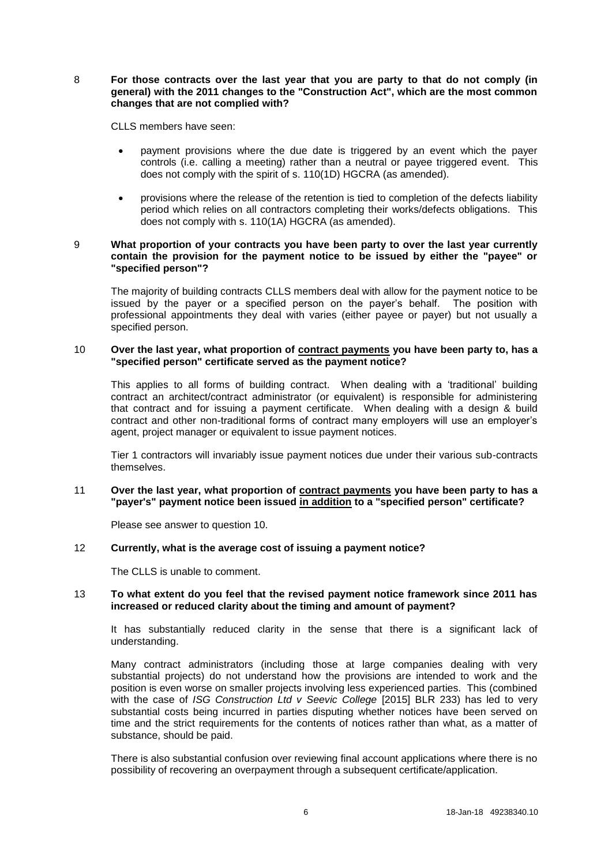## 8 **For those contracts over the last year that you are party to that do not comply (in general) with the 2011 changes to the "Construction Act", which are the most common changes that are not complied with?**

CLLS members have seen:

- payment provisions where the due date is triggered by an event which the payer controls (i.e. calling a meeting) rather than a neutral or payee triggered event. This does not comply with the spirit of s. 110(1D) HGCRA (as amended).
- provisions where the release of the retention is tied to completion of the defects liability period which relies on all contractors completing their works/defects obligations. This does not comply with s. 110(1A) HGCRA (as amended).

## 9 **What proportion of your contracts you have been party to over the last year currently contain the provision for the payment notice to be issued by either the "payee" or "specified person"?**

The majority of building contracts CLLS members deal with allow for the payment notice to be issued by the payer or a specified person on the payer's behalf. The position with professional appointments they deal with varies (either payee or payer) but not usually a specified person.

#### 10 **Over the last year, what proportion of contract payments you have been party to, has a "specified person" certificate served as the payment notice?**

This applies to all forms of building contract. When dealing with a 'traditional' building contract an architect/contract administrator (or equivalent) is responsible for administering that contract and for issuing a payment certificate. When dealing with a design & build contract and other non-traditional forms of contract many employers will use an employer's agent, project manager or equivalent to issue payment notices.

Tier 1 contractors will invariably issue payment notices due under their various sub-contracts themselves.

## 11 **Over the last year, what proportion of contract payments you have been party to has a "payer's" payment notice been issued in addition to a "specified person" certificate?**

Please see answer to question 10.

## 12 **Currently, what is the average cost of issuing a payment notice?**

The CLLS is unable to comment.

## 13 **To what extent do you feel that the revised payment notice framework since 2011 has increased or reduced clarity about the timing and amount of payment?**

It has substantially reduced clarity in the sense that there is a significant lack of understanding.

Many contract administrators (including those at large companies dealing with very substantial projects) do not understand how the provisions are intended to work and the position is even worse on smaller projects involving less experienced parties. This (combined with the case of *ISG Construction Ltd v Seevic College* [2015] BLR 233) has led to very substantial costs being incurred in parties disputing whether notices have been served on time and the strict requirements for the contents of notices rather than what, as a matter of substance, should be paid.

There is also substantial confusion over reviewing final account applications where there is no possibility of recovering an overpayment through a subsequent certificate/application.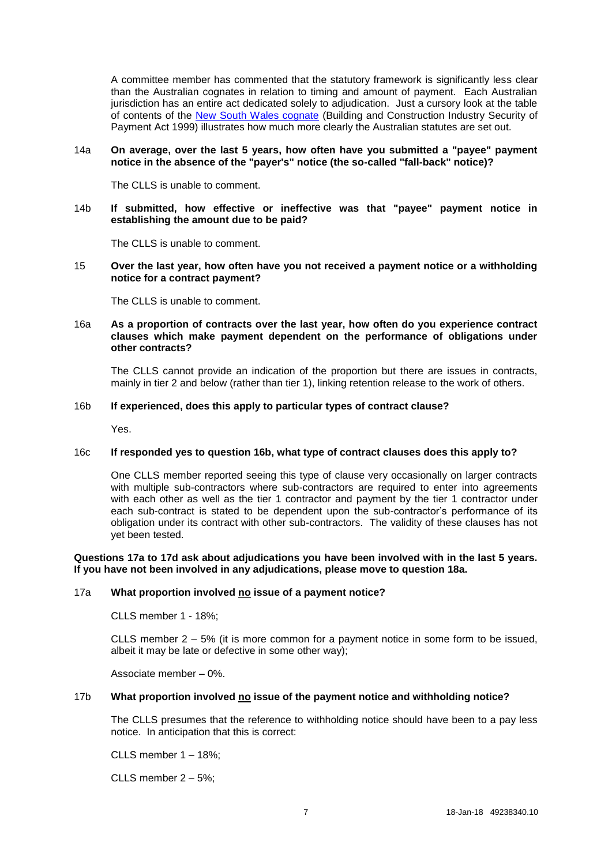A committee member has commented that the statutory framework is significantly less clear than the Australian cognates in relation to timing and amount of payment. Each Australian jurisdiction has an entire act dedicated solely to adjudication. Just a cursory look at the table of contents of the [New South Wales cognate](http://www.austlii.edu.au/cgi-bin/viewdb/au/legis/nsw/consol_act/bacisopa1999606/) (Building and Construction Industry Security of Payment Act 1999) illustrates how much more clearly the Australian statutes are set out.

## 14a **On average, over the last 5 years, how often have you submitted a "payee" payment notice in the absence of the "payer's" notice (the so-called "fall-back" notice)?**

The CLLS is unable to comment.

## 14b **If submitted, how effective or ineffective was that "payee" payment notice in establishing the amount due to be paid?**

The CLLS is unable to comment.

# 15 **Over the last year, how often have you not received a payment notice or a withholding notice for a contract payment?**

The CLLS is unable to comment.

## 16a **As a proportion of contracts over the last year, how often do you experience contract clauses which make payment dependent on the performance of obligations under other contracts?**

The CLLS cannot provide an indication of the proportion but there are issues in contracts, mainly in tier 2 and below (rather than tier 1), linking retention release to the work of others.

# 16b **If experienced, does this apply to particular types of contract clause?**

Yes.

## 16c **If responded yes to question 16b, what type of contract clauses does this apply to?**

One CLLS member reported seeing this type of clause very occasionally on larger contracts with multiple sub-contractors where sub-contractors are required to enter into agreements with each other as well as the tier 1 contractor and payment by the tier 1 contractor under each sub-contract is stated to be dependent upon the sub-contractor's performance of its obligation under its contract with other sub-contractors. The validity of these clauses has not yet been tested.

# **Questions 17a to 17d ask about adjudications you have been involved with in the last 5 years. If you have not been involved in any adjudications, please move to question 18a.**

## 17a **What proportion involved no issue of a payment notice?**

CLLS member 1 - 18%;

CLLS member  $2 - 5%$  (it is more common for a payment notice in some form to be issued, albeit it may be late or defective in some other way);

Associate member – 0%.

## 17b **What proportion involved no issue of the payment notice and withholding notice?**

The CLLS presumes that the reference to withholding notice should have been to a pay less notice. In anticipation that this is correct:

CLLS member 1 – 18%;

CLLS member 2 – 5%;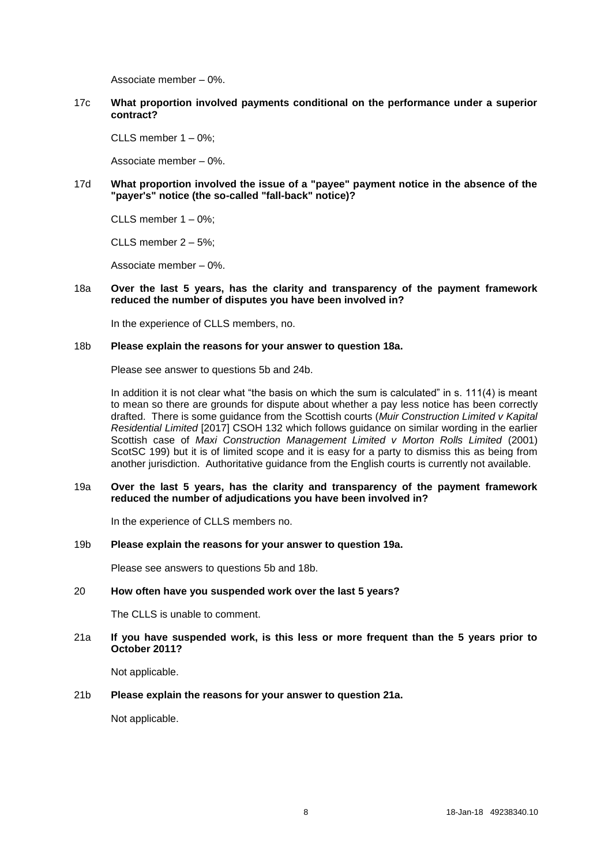Associate member – 0%.

17c **What proportion involved payments conditional on the performance under a superior contract?**

CLLS member 1 – 0%;

Associate member – 0%.

17d **What proportion involved the issue of a "payee" payment notice in the absence of the "payer's" notice (the so-called "fall-back" notice)?**

CLLS member 1 – 0%;

CLLS member 2 – 5%;

Associate member – 0%.

#### 18a **Over the last 5 years, has the clarity and transparency of the payment framework reduced the number of disputes you have been involved in?**

In the experience of CLLS members, no.

#### 18b **Please explain the reasons for your answer to question 18a.**

Please see answer to questions 5b and 24b.

In addition it is not clear what "the basis on which the sum is calculated" in s. 111(4) is meant to mean so there are grounds for dispute about whether a pay less notice has been correctly drafted. There is some guidance from the Scottish courts (*Muir Construction Limited v Kapital Residential Limited* [2017] CSOH 132 which follows guidance on similar wording in the earlier Scottish case of *Maxi Construction Management Limited v Morton Rolls Limited* (2001) ScotSC 199) but it is of limited scope and it is easy for a party to dismiss this as being from another jurisdiction. Authoritative guidance from the English courts is currently not available.

#### 19a **Over the last 5 years, has the clarity and transparency of the payment framework reduced the number of adjudications you have been involved in?**

In the experience of CLLS members no.

## 19b **Please explain the reasons for your answer to question 19a.**

Please see answers to questions 5b and 18b.

## 20 **How often have you suspended work over the last 5 years?**

The CLLS is unable to comment.

# 21a **If you have suspended work, is this less or more frequent than the 5 years prior to October 2011?**

Not applicable.

## 21b **Please explain the reasons for your answer to question 21a.**

Not applicable.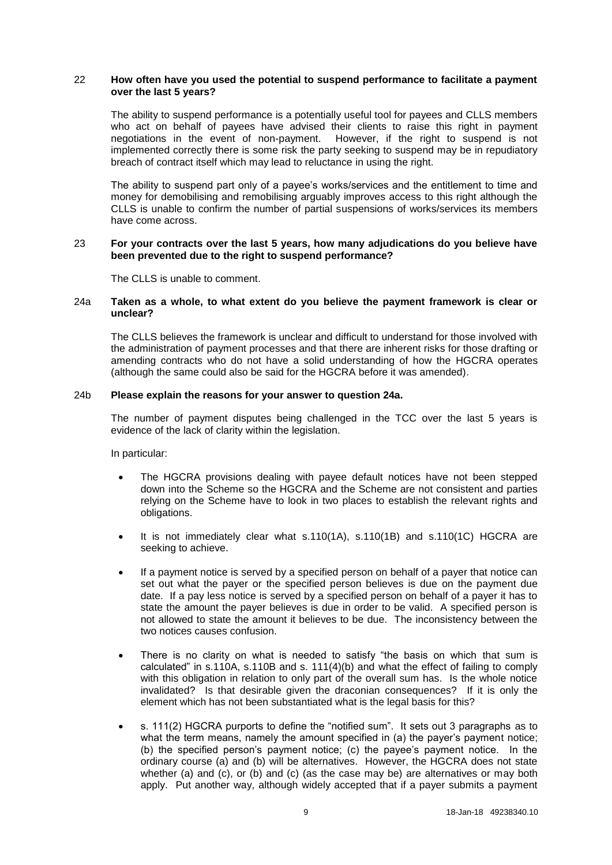## 22 **How often have you used the potential to suspend performance to facilitate a payment over the last 5 years?**

The ability to suspend performance is a potentially useful tool for payees and CLLS members who act on behalf of payees have advised their clients to raise this right in payment negotiations in the event of non-payment. However, if the right to suspend is not implemented correctly there is some risk the party seeking to suspend may be in repudiatory breach of contract itself which may lead to reluctance in using the right.

The ability to suspend part only of a payee's works/services and the entitlement to time and money for demobilising and remobilising arguably improves access to this right although the CLLS is unable to confirm the number of partial suspensions of works/services its members have come across.

#### 23 **For your contracts over the last 5 years, how many adjudications do you believe have been prevented due to the right to suspend performance?**

The CLLS is unable to comment.

## 24a **Taken as a whole, to what extent do you believe the payment framework is clear or unclear?**

The CLLS believes the framework is unclear and difficult to understand for those involved with the administration of payment processes and that there are inherent risks for those drafting or amending contracts who do not have a solid understanding of how the HGCRA operates (although the same could also be said for the HGCRA before it was amended).

#### 24b **Please explain the reasons for your answer to question 24a.**

The number of payment disputes being challenged in the TCC over the last 5 years is evidence of the lack of clarity within the legislation.

In particular:

- The HGCRA provisions dealing with payee default notices have not been stepped down into the Scheme so the HGCRA and the Scheme are not consistent and parties relying on the Scheme have to look in two places to establish the relevant rights and obligations.
- It is not immediately clear what s.110(1A), s.110(1B) and s.110(1C) HGCRA are seeking to achieve.
- If a payment notice is served by a specified person on behalf of a payer that notice can set out what the payer or the specified person believes is due on the payment due date. If a pay less notice is served by a specified person on behalf of a payer it has to state the amount the payer believes is due in order to be valid. A specified person is not allowed to state the amount it believes to be due. The inconsistency between the two notices causes confusion.
- There is no clarity on what is needed to satisfy "the basis on which that sum is calculated" in s.110A, s.110B and s. 111(4)(b) and what the effect of failing to comply with this obligation in relation to only part of the overall sum has. Is the whole notice invalidated? Is that desirable given the draconian consequences? If it is only the element which has not been substantiated what is the legal basis for this?
- s. 111(2) HGCRA purports to define the "notified sum". It sets out 3 paragraphs as to what the term means, namely the amount specified in (a) the payer's payment notice; (b) the specified person's payment notice; (c) the payee's payment notice. In the ordinary course (a) and (b) will be alternatives. However, the HGCRA does not state whether (a) and  $(c)$ , or (b) and (c) (as the case may be) are alternatives or may both apply. Put another way, although widely accepted that if a payer submits a payment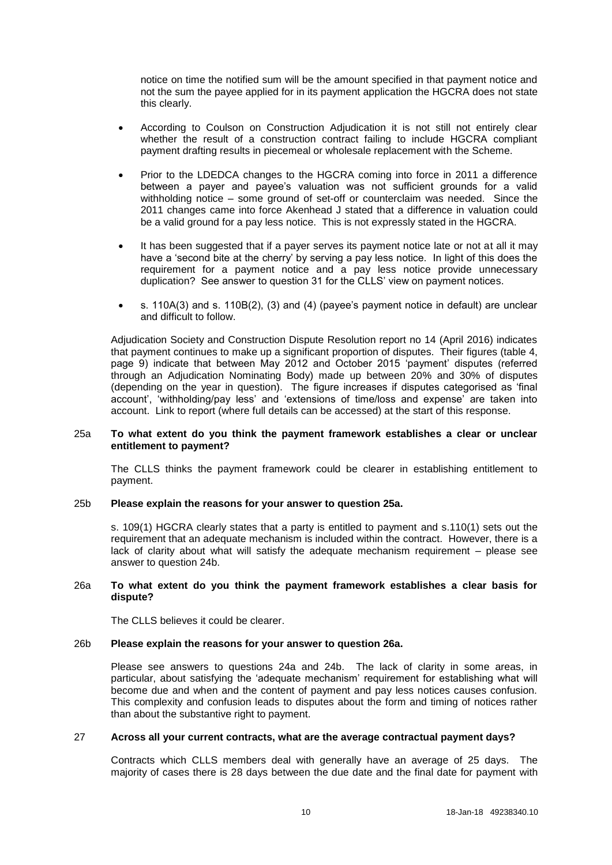notice on time the notified sum will be the amount specified in that payment notice and not the sum the payee applied for in its payment application the HGCRA does not state this clearly.

- According to Coulson on Construction Adjudication it is not still not entirely clear whether the result of a construction contract failing to include HGCRA compliant payment drafting results in piecemeal or wholesale replacement with the Scheme.
- Prior to the LDEDCA changes to the HGCRA coming into force in 2011 a difference between a payer and payee's valuation was not sufficient grounds for a valid withholding notice – some ground of set-off or counterclaim was needed. Since the 2011 changes came into force Akenhead J stated that a difference in valuation could be a valid ground for a pay less notice. This is not expressly stated in the HGCRA.
- It has been suggested that if a payer serves its payment notice late or not at all it may have a 'second bite at the cherry' by serving a pay less notice. In light of this does the requirement for a payment notice and a pay less notice provide unnecessary duplication? See answer to question 31 for the CLLS' view on payment notices.
- s. 110A(3) and s. 110B(2), (3) and (4) (payee's payment notice in default) are unclear and difficult to follow.

Adjudication Society and Construction Dispute Resolution report no 14 (April 2016) indicates that payment continues to make up a significant proportion of disputes. Their figures (table 4, page 9) indicate that between May 2012 and October 2015 'payment' disputes (referred through an Adjudication Nominating Body) made up between 20% and 30% of disputes (depending on the year in question). The figure increases if disputes categorised as 'final account', 'withholding/pay less' and 'extensions of time/loss and expense' are taken into account. Link to report (where full details can be accessed) at the start of this response.

## 25a **To what extent do you think the payment framework establishes a clear or unclear entitlement to payment?**

The CLLS thinks the payment framework could be clearer in establishing entitlement to payment.

# 25b **Please explain the reasons for your answer to question 25a.**

s. 109(1) HGCRA clearly states that a party is entitled to payment and s.110(1) sets out the requirement that an adequate mechanism is included within the contract. However, there is a lack of clarity about what will satisfy the adequate mechanism requirement – please see answer to question 24b.

#### 26a **To what extent do you think the payment framework establishes a clear basis for dispute?**

The CLLS believes it could be clearer.

## 26b **Please explain the reasons for your answer to question 26a.**

Please see answers to questions 24a and 24b. The lack of clarity in some areas, in particular, about satisfying the 'adequate mechanism' requirement for establishing what will become due and when and the content of payment and pay less notices causes confusion. This complexity and confusion leads to disputes about the form and timing of notices rather than about the substantive right to payment.

## 27 **Across all your current contracts, what are the average contractual payment days?**

Contracts which CLLS members deal with generally have an average of 25 days. The majority of cases there is 28 days between the due date and the final date for payment with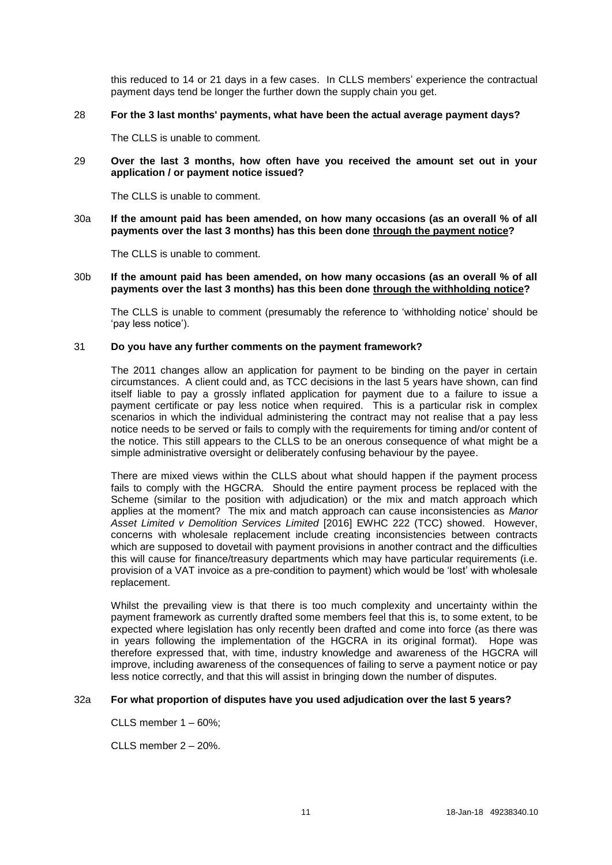this reduced to 14 or 21 days in a few cases. In CLLS members' experience the contractual payment days tend be longer the further down the supply chain you get.

#### 28 **For the 3 last months' payments, what have been the actual average payment days?**

The CLLS is unable to comment.

29 **Over the last 3 months, how often have you received the amount set out in your application / or payment notice issued?**

The CLLS is unable to comment.

30a **If the amount paid has been amended, on how many occasions (as an overall % of all payments over the last 3 months) has this been done through the payment notice?**

The CLLS is unable to comment.

30b **If the amount paid has been amended, on how many occasions (as an overall % of all payments over the last 3 months) has this been done through the withholding notice?**

The CLLS is unable to comment (presumably the reference to 'withholding notice' should be 'pay less notice').

## 31 **Do you have any further comments on the payment framework?**

The 2011 changes allow an application for payment to be binding on the payer in certain circumstances. A client could and, as TCC decisions in the last 5 years have shown, can find itself liable to pay a grossly inflated application for payment due to a failure to issue a payment certificate or pay less notice when required. This is a particular risk in complex scenarios in which the individual administering the contract may not realise that a pay less notice needs to be served or fails to comply with the requirements for timing and/or content of the notice. This still appears to the CLLS to be an onerous consequence of what might be a simple administrative oversight or deliberately confusing behaviour by the payee.

There are mixed views within the CLLS about what should happen if the payment process fails to comply with the HGCRA. Should the entire payment process be replaced with the Scheme (similar to the position with adjudication) or the mix and match approach which applies at the moment? The mix and match approach can cause inconsistencies as *Manor Asset Limited v Demolition Services Limited* [2016] EWHC 222 (TCC) showed. However, concerns with wholesale replacement include creating inconsistencies between contracts which are supposed to dovetail with payment provisions in another contract and the difficulties this will cause for finance/treasury departments which may have particular requirements (i.e. provision of a VAT invoice as a pre-condition to payment) which would be 'lost' with wholesale replacement.

Whilst the prevailing view is that there is too much complexity and uncertainty within the payment framework as currently drafted some members feel that this is, to some extent, to be expected where legislation has only recently been drafted and come into force (as there was in years following the implementation of the HGCRA in its original format). Hope was therefore expressed that, with time, industry knowledge and awareness of the HGCRA will improve, including awareness of the consequences of failing to serve a payment notice or pay less notice correctly, and that this will assist in bringing down the number of disputes.

## 32a **For what proportion of disputes have you used adjudication over the last 5 years?**

CLLS member 1 – 60%;

CLLS member 2 – 20%.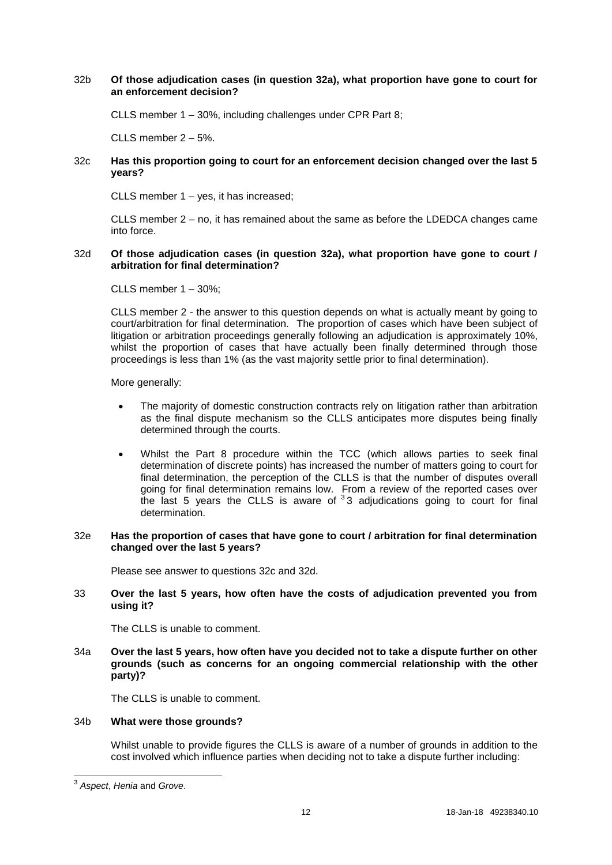# 32b **Of those adjudication cases (in question 32a), what proportion have gone to court for an enforcement decision?**

CLLS member 1 – 30%, including challenges under CPR Part 8;

CLLS member 2 – 5%.

# 32c **Has this proportion going to court for an enforcement decision changed over the last 5 years?**

CLLS member 1 – yes, it has increased;

CLLS member 2 – no, it has remained about the same as before the LDEDCA changes came into force.

## 32d **Of those adjudication cases (in question 32a), what proportion have gone to court / arbitration for final determination?**

CLLS member  $1 - 30\%$ ;

CLLS member 2 - the answer to this question depends on what is actually meant by going to court/arbitration for final determination. The proportion of cases which have been subject of litigation or arbitration proceedings generally following an adjudication is approximately 10%, whilst the proportion of cases that have actually been finally determined through those proceedings is less than 1% (as the vast majority settle prior to final determination).

More generally:

- The majority of domestic construction contracts rely on litigation rather than arbitration as the final dispute mechanism so the CLLS anticipates more disputes being finally determined through the courts.
- Whilst the Part 8 procedure within the TCC (which allows parties to seek final determination of discrete points) has increased the number of matters going to court for final determination, the perception of the CLLS is that the number of disputes overall going for final determination remains low. From a review of the reported cases over the last 5 years the CLLS is aware of  $33$  adjudications going to court for final determination.

# 32e **Has the proportion of cases that have gone to court / arbitration for final determination changed over the last 5 years?**

Please see answer to questions 32c and 32d.

## 33 **Over the last 5 years, how often have the costs of adjudication prevented you from using it?**

The CLLS is unable to comment.

34a **Over the last 5 years, how often have you decided not to take a dispute further on other grounds (such as concerns for an ongoing commercial relationship with the other party)?**

The CLLS is unable to comment.

## 34b **What were those grounds?**

Whilst unable to provide figures the CLLS is aware of a number of grounds in addition to the cost involved which influence parties when deciding not to take a dispute further including:

 3 *Aspect*, *Henia* and *Grove*.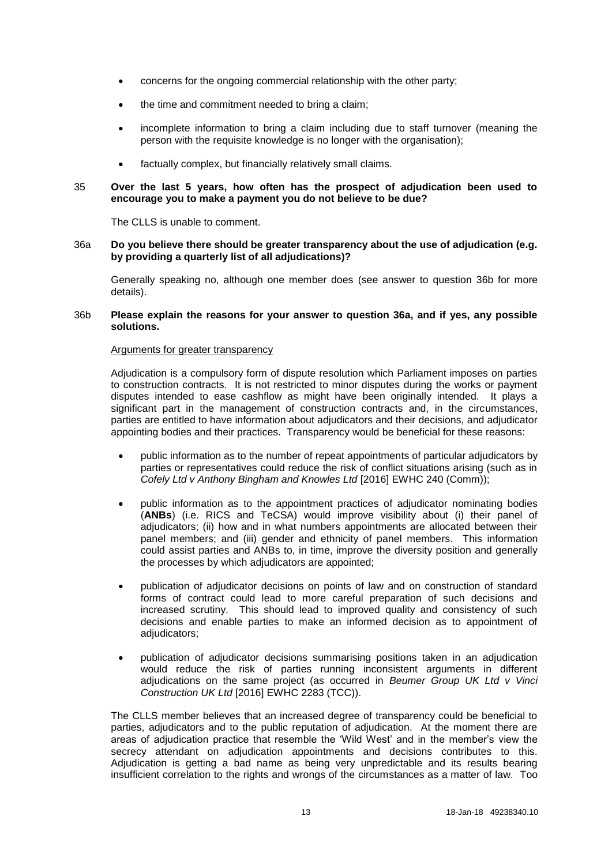- concerns for the ongoing commercial relationship with the other party;
- the time and commitment needed to bring a claim;
- incomplete information to bring a claim including due to staff turnover (meaning the person with the requisite knowledge is no longer with the organisation);
- factually complex, but financially relatively small claims.

# 35 **Over the last 5 years, how often has the prospect of adjudication been used to encourage you to make a payment you do not believe to be due?**

The CLLS is unable to comment.

## 36a **Do you believe there should be greater transparency about the use of adjudication (e.g. by providing a quarterly list of all adjudications)?**

Generally speaking no, although one member does (see answer to question 36b for more details).

## 36b **Please explain the reasons for your answer to question 36a, and if yes, any possible solutions.**

## Arguments for greater transparency

Adjudication is a compulsory form of dispute resolution which Parliament imposes on parties to construction contracts. It is not restricted to minor disputes during the works or payment disputes intended to ease cashflow as might have been originally intended. It plays a significant part in the management of construction contracts and, in the circumstances, parties are entitled to have information about adjudicators and their decisions, and adjudicator appointing bodies and their practices. Transparency would be beneficial for these reasons:

- public information as to the number of repeat appointments of particular adjudicators by parties or representatives could reduce the risk of conflict situations arising (such as in *Cofely Ltd v Anthony Bingham and Knowles Ltd* [2016] EWHC 240 (Comm));
- public information as to the appointment practices of adjudicator nominating bodies (**ANBs**) (i.e. RICS and TeCSA) would improve visibility about (i) their panel of adjudicators; (ii) how and in what numbers appointments are allocated between their panel members; and (iii) gender and ethnicity of panel members. This information could assist parties and ANBs to, in time, improve the diversity position and generally the processes by which adjudicators are appointed;
- publication of adjudicator decisions on points of law and on construction of standard forms of contract could lead to more careful preparation of such decisions and increased scrutiny. This should lead to improved quality and consistency of such decisions and enable parties to make an informed decision as to appointment of adjudicators;
- publication of adjudicator decisions summarising positions taken in an adjudication would reduce the risk of parties running inconsistent arguments in different adjudications on the same project (as occurred in *Beumer Group UK Ltd v Vinci Construction UK Ltd* [2016] EWHC 2283 (TCC)).

The CLLS member believes that an increased degree of transparency could be beneficial to parties, adjudicators and to the public reputation of adjudication. At the moment there are areas of adjudication practice that resemble the 'Wild West' and in the member's view the secrecy attendant on adjudication appointments and decisions contributes to this. Adjudication is getting a bad name as being very unpredictable and its results bearing insufficient correlation to the rights and wrongs of the circumstances as a matter of law. Too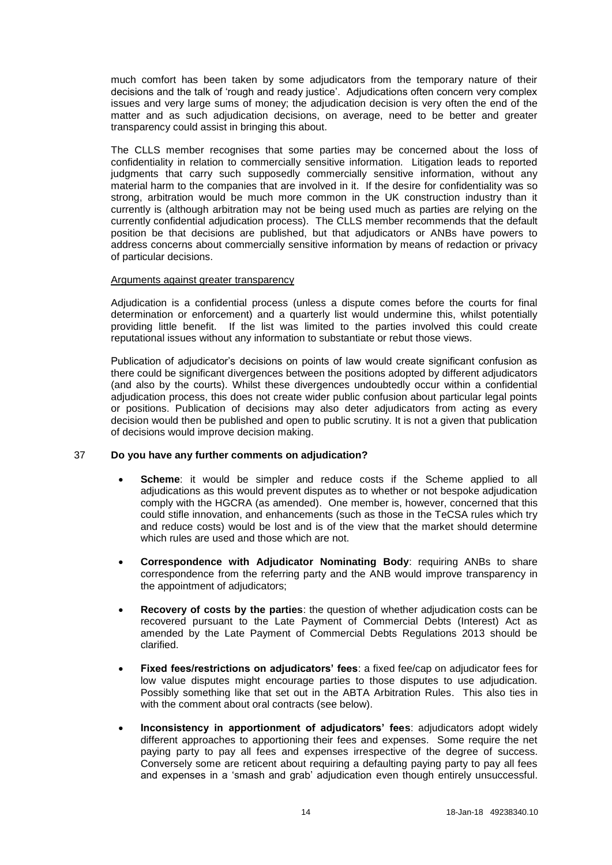much comfort has been taken by some adjudicators from the temporary nature of their decisions and the talk of 'rough and ready justice'. Adjudications often concern very complex issues and very large sums of money; the adjudication decision is very often the end of the matter and as such adjudication decisions, on average, need to be better and greater transparency could assist in bringing this about.

The CLLS member recognises that some parties may be concerned about the loss of confidentiality in relation to commercially sensitive information. Litigation leads to reported judgments that carry such supposedly commercially sensitive information, without any material harm to the companies that are involved in it. If the desire for confidentiality was so strong, arbitration would be much more common in the UK construction industry than it currently is (although arbitration may not be being used much as parties are relying on the currently confidential adjudication process). The CLLS member recommends that the default position be that decisions are published, but that adjudicators or ANBs have powers to address concerns about commercially sensitive information by means of redaction or privacy of particular decisions.

#### Arguments against greater transparency

Adjudication is a confidential process (unless a dispute comes before the courts for final determination or enforcement) and a quarterly list would undermine this, whilst potentially providing little benefit. If the list was limited to the parties involved this could create reputational issues without any information to substantiate or rebut those views.

Publication of adjudicator's decisions on points of law would create significant confusion as there could be significant divergences between the positions adopted by different adjudicators (and also by the courts). Whilst these divergences undoubtedly occur within a confidential adjudication process, this does not create wider public confusion about particular legal points or positions. Publication of decisions may also deter adjudicators from acting as every decision would then be published and open to public scrutiny. It is not a given that publication of decisions would improve decision making.

## 37 **Do you have any further comments on adjudication?**

- **Scheme:** it would be simpler and reduce costs if the Scheme applied to all adjudications as this would prevent disputes as to whether or not bespoke adjudication comply with the HGCRA (as amended). One member is, however, concerned that this could stifle innovation, and enhancements (such as those in the TeCSA rules which try and reduce costs) would be lost and is of the view that the market should determine which rules are used and those which are not.
- **Correspondence with Adjudicator Nominating Body**: requiring ANBs to share correspondence from the referring party and the ANB would improve transparency in the appointment of adjudicators;
- **Recovery of costs by the parties**: the question of whether adjudication costs can be recovered pursuant to the Late Payment of Commercial Debts (Interest) Act as amended by the Late Payment of Commercial Debts Regulations 2013 should be clarified.
- **Fixed fees/restrictions on adjudicators' fees**: a fixed fee/cap on adjudicator fees for low value disputes might encourage parties to those disputes to use adjudication. Possibly something like that set out in the ABTA Arbitration Rules. This also ties in with the comment about oral contracts (see below).
- **Inconsistency in apportionment of adjudicators' fees**: adjudicators adopt widely different approaches to apportioning their fees and expenses. Some require the net paying party to pay all fees and expenses irrespective of the degree of success. Conversely some are reticent about requiring a defaulting paying party to pay all fees and expenses in a 'smash and grab' adjudication even though entirely unsuccessful.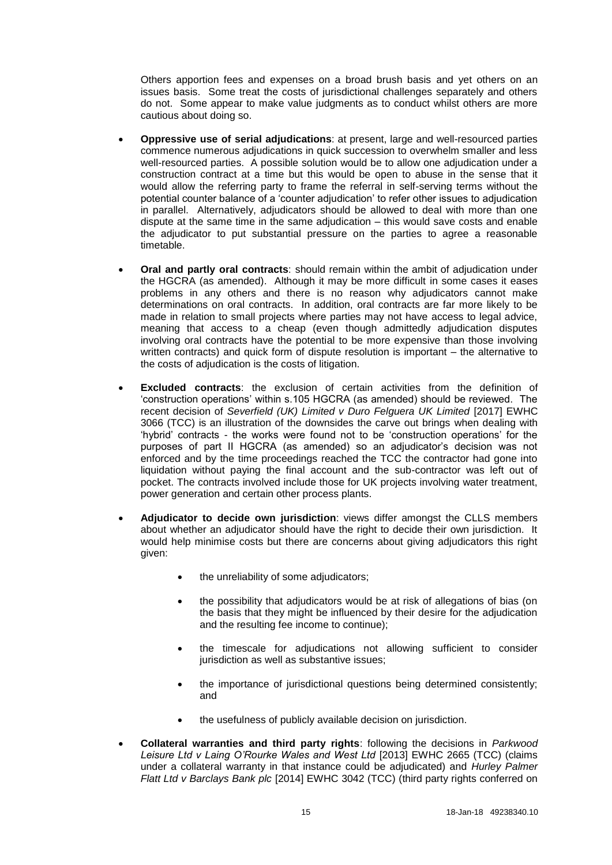Others apportion fees and expenses on a broad brush basis and yet others on an issues basis. Some treat the costs of jurisdictional challenges separately and others do not. Some appear to make value judgments as to conduct whilst others are more cautious about doing so.

- **Oppressive use of serial adjudications**: at present, large and well-resourced parties commence numerous adjudications in quick succession to overwhelm smaller and less well-resourced parties. A possible solution would be to allow one adjudication under a construction contract at a time but this would be open to abuse in the sense that it would allow the referring party to frame the referral in self-serving terms without the potential counter balance of a 'counter adjudication' to refer other issues to adjudication in parallel. Alternatively, adjudicators should be allowed to deal with more than one dispute at the same time in the same adjudication – this would save costs and enable the adjudicator to put substantial pressure on the parties to agree a reasonable timetable.
- **Oral and partly oral contracts**: should remain within the ambit of adjudication under the HGCRA (as amended). Although it may be more difficult in some cases it eases problems in any others and there is no reason why adjudicators cannot make determinations on oral contracts. In addition, oral contracts are far more likely to be made in relation to small projects where parties may not have access to legal advice, meaning that access to a cheap (even though admittedly adjudication disputes involving oral contracts have the potential to be more expensive than those involving written contracts) and quick form of dispute resolution is important – the alternative to the costs of adjudication is the costs of litigation.
- **Excluded contracts**: the exclusion of certain activities from the definition of 'construction operations' within s.105 HGCRA (as amended) should be reviewed. The recent decision of *Severfield (UK) Limited v Duro Felguera UK Limited* [2017] EWHC 3066 (TCC) is an illustration of the downsides the carve out brings when dealing with 'hybrid' contracts - the works were found not to be 'construction operations' for the purposes of part II HGCRA (as amended) so an adjudicator's decision was not enforced and by the time proceedings reached the TCC the contractor had gone into liquidation without paying the final account and the sub-contractor was left out of pocket. The contracts involved include those for UK projects involving water treatment, power generation and certain other process plants.
- **Adjudicator to decide own jurisdiction**: views differ amongst the CLLS members about whether an adjudicator should have the right to decide their own jurisdiction. It would help minimise costs but there are concerns about giving adjudicators this right given:
	- the unreliability of some adjudicators;
	- the possibility that adjudicators would be at risk of allegations of bias (on the basis that they might be influenced by their desire for the adjudication and the resulting fee income to continue);
	- the timescale for adjudications not allowing sufficient to consider jurisdiction as well as substantive issues:
	- the importance of jurisdictional questions being determined consistently; and
	- the usefulness of publicly available decision on jurisdiction.
- **Collateral warranties and third party rights**: following the decisions in *Parkwood Leisure Ltd v Laing O'Rourke Wales and West Ltd* [2013] EWHC 2665 (TCC) (claims under a collateral warranty in that instance could be adjudicated) and *Hurley Palmer Flatt Ltd v Barclays Bank plc* [2014] EWHC 3042 (TCC) (third party rights conferred on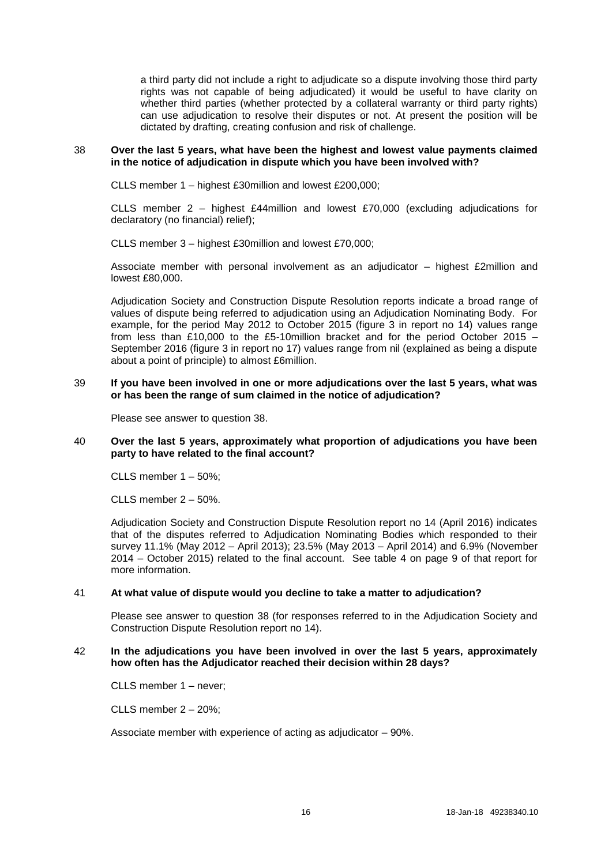a third party did not include a right to adjudicate so a dispute involving those third party rights was not capable of being adjudicated) it would be useful to have clarity on whether third parties (whether protected by a collateral warranty or third party rights) can use adjudication to resolve their disputes or not. At present the position will be dictated by drafting, creating confusion and risk of challenge.

## 38 **Over the last 5 years, what have been the highest and lowest value payments claimed in the notice of adjudication in dispute which you have been involved with?**

CLLS member 1 – highest £30million and lowest £200,000;

CLLS member 2 – highest £44million and lowest £70,000 (excluding adjudications for declaratory (no financial) relief);

CLLS member 3 – highest £30million and lowest £70,000;

Associate member with personal involvement as an adjudicator – highest £2million and lowest £80,000.

Adjudication Society and Construction Dispute Resolution reports indicate a broad range of values of dispute being referred to adjudication using an Adjudication Nominating Body. For example, for the period May 2012 to October 2015 (figure 3 in report no 14) values range from less than £10,000 to the £5-10million bracket and for the period October 2015 – September 2016 (figure 3 in report no 17) values range from nil (explained as being a dispute about a point of principle) to almost £6million.

#### 39 **If you have been involved in one or more adjudications over the last 5 years, what was or has been the range of sum claimed in the notice of adjudication?**

Please see answer to question 38.

## 40 **Over the last 5 years, approximately what proportion of adjudications you have been party to have related to the final account?**

CLLS member 1 – 50%;

CLLS member 2 – 50%.

Adjudication Society and Construction Dispute Resolution report no 14 (April 2016) indicates that of the disputes referred to Adjudication Nominating Bodies which responded to their survey 11.1% (May 2012 – April 2013); 23.5% (May 2013 – April 2014) and 6.9% (November 2014 – October 2015) related to the final account. See table 4 on page 9 of that report for more information.

## 41 **At what value of dispute would you decline to take a matter to adjudication?**

Please see answer to question 38 (for responses referred to in the Adjudication Society and Construction Dispute Resolution report no 14).

#### 42 **In the adjudications you have been involved in over the last 5 years, approximately how often has the Adjudicator reached their decision within 28 days?**

CLLS member 1 – never;

CLLS member 2 – 20%;

Associate member with experience of acting as adjudicator – 90%.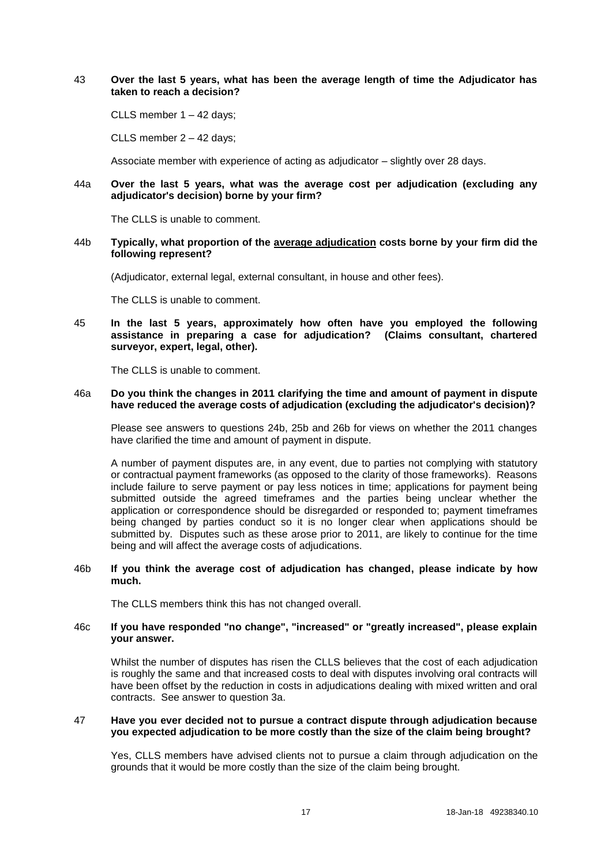# 43 **Over the last 5 years, what has been the average length of time the Adjudicator has taken to reach a decision?**

CLLS member 1 – 42 days;

CLLS member 2 – 42 days;

Associate member with experience of acting as adjudicator – slightly over 28 days.

## 44a **Over the last 5 years, what was the average cost per adjudication (excluding any adjudicator's decision) borne by your firm?**

The CLLS is unable to comment.

## 44b **Typically, what proportion of the average adjudication costs borne by your firm did the following represent?**

(Adjudicator, external legal, external consultant, in house and other fees).

The CLLS is unable to comment.

45 **In the last 5 years, approximately how often have you employed the following assistance in preparing a case for adjudication? (Claims consultant, chartered surveyor, expert, legal, other).**

The CLLS is unable to comment.

# 46a **Do you think the changes in 2011 clarifying the time and amount of payment in dispute have reduced the average costs of adjudication (excluding the adjudicator's decision)?**

Please see answers to questions 24b, 25b and 26b for views on whether the 2011 changes have clarified the time and amount of payment in dispute.

A number of payment disputes are, in any event, due to parties not complying with statutory or contractual payment frameworks (as opposed to the clarity of those frameworks). Reasons include failure to serve payment or pay less notices in time; applications for payment being submitted outside the agreed timeframes and the parties being unclear whether the application or correspondence should be disregarded or responded to; payment timeframes being changed by parties conduct so it is no longer clear when applications should be submitted by. Disputes such as these arose prior to 2011, are likely to continue for the time being and will affect the average costs of adjudications.

## 46b **If you think the average cost of adjudication has changed, please indicate by how much.**

The CLLS members think this has not changed overall.

## 46c **If you have responded "no change", "increased" or "greatly increased", please explain your answer.**

Whilst the number of disputes has risen the CLLS believes that the cost of each adjudication is roughly the same and that increased costs to deal with disputes involving oral contracts will have been offset by the reduction in costs in adjudications dealing with mixed written and oral contracts. See answer to question 3a.

#### 47 **Have you ever decided not to pursue a contract dispute through adjudication because you expected adjudication to be more costly than the size of the claim being brought?**

Yes, CLLS members have advised clients not to pursue a claim through adjudication on the grounds that it would be more costly than the size of the claim being brought.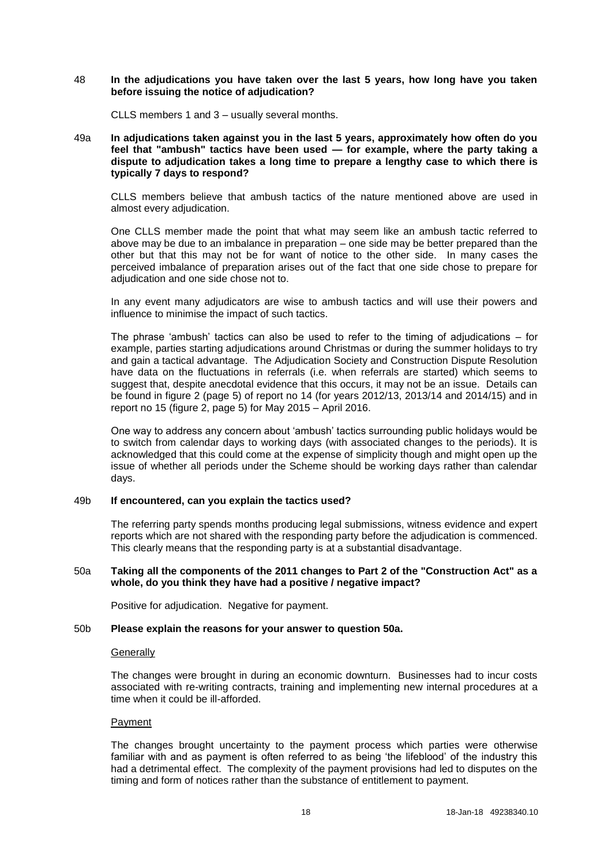## 48 **In the adjudications you have taken over the last 5 years, how long have you taken before issuing the notice of adjudication?**

CLLS members 1 and 3 – usually several months.

49a **In adjudications taken against you in the last 5 years, approximately how often do you feel that "ambush" tactics have been used — for example, where the party taking a dispute to adjudication takes a long time to prepare a lengthy case to which there is typically 7 days to respond?**

CLLS members believe that ambush tactics of the nature mentioned above are used in almost every adjudication.

One CLLS member made the point that what may seem like an ambush tactic referred to above may be due to an imbalance in preparation – one side may be better prepared than the other but that this may not be for want of notice to the other side. In many cases the perceived imbalance of preparation arises out of the fact that one side chose to prepare for adjudication and one side chose not to.

In any event many adjudicators are wise to ambush tactics and will use their powers and influence to minimise the impact of such tactics.

The phrase 'ambush' tactics can also be used to refer to the timing of adjudications – for example, parties starting adjudications around Christmas or during the summer holidays to try and gain a tactical advantage. The Adjudication Society and Construction Dispute Resolution have data on the fluctuations in referrals (i.e. when referrals are started) which seems to suggest that, despite anecdotal evidence that this occurs, it may not be an issue. Details can be found in figure 2 (page 5) of report no 14 (for years 2012/13, 2013/14 and 2014/15) and in report no 15 (figure 2, page 5) for May 2015 – April 2016.

One way to address any concern about 'ambush' tactics surrounding public holidays would be to switch from calendar days to working days (with associated changes to the periods). It is acknowledged that this could come at the expense of simplicity though and might open up the issue of whether all periods under the Scheme should be working days rather than calendar days.

# 49b **If encountered, can you explain the tactics used?**

The referring party spends months producing legal submissions, witness evidence and expert reports which are not shared with the responding party before the adjudication is commenced. This clearly means that the responding party is at a substantial disadvantage.

#### 50a **Taking all the components of the 2011 changes to Part 2 of the "Construction Act" as a whole, do you think they have had a positive / negative impact?**

Positive for adjudication. Negative for payment.

## 50b **Please explain the reasons for your answer to question 50a.**

#### **Generally**

The changes were brought in during an economic downturn. Businesses had to incur costs associated with re-writing contracts, training and implementing new internal procedures at a time when it could be ill-afforded.

#### Payment

The changes brought uncertainty to the payment process which parties were otherwise familiar with and as payment is often referred to as being 'the lifeblood' of the industry this had a detrimental effect. The complexity of the payment provisions had led to disputes on the timing and form of notices rather than the substance of entitlement to payment.